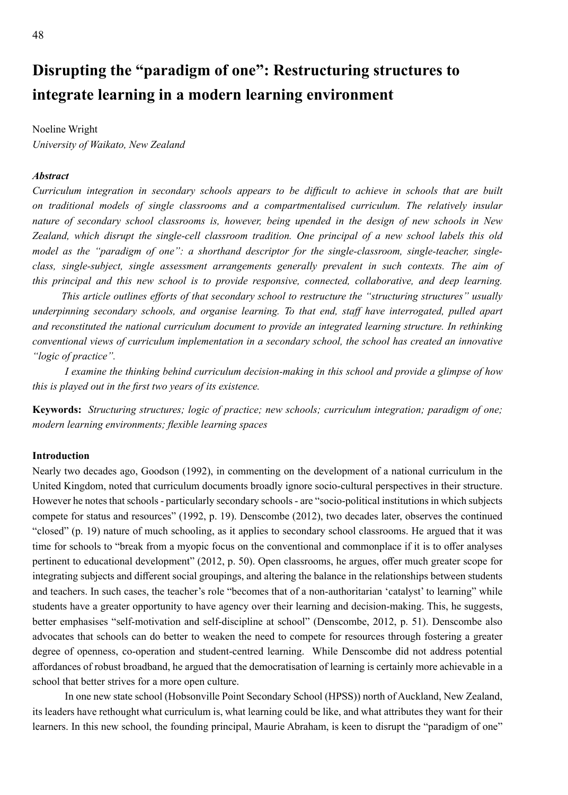# **Disrupting the "paradigm of one": Restructuring structures to integrate learning in a modern learning environment**

Noeline Wright *University of Waikato, New Zealand*

# *Abstract*

*Curriculum integration in secondary schools appears to be difficult to achieve in schools that are built on traditional models of single classrooms and a compartmentalised curriculum. The relatively insular nature of secondary school classrooms is, however, being upended in the design of new schools in New Zealand, which disrupt the single-cell classroom tradition. One principal of a new school labels this old model as the "paradigm of one": a shorthand descriptor for the single-classroom, single-teacher, singleclass, single-subject, single assessment arrangements generally prevalent in such contexts. The aim of this principal and this new school is to provide responsive, connected, collaborative, and deep learning.* 

 *This article outlines efforts of that secondary school to restructure the "structuring structures" usually underpinning secondary schools, and organise learning. To that end, staff have interrogated, pulled apart and reconstituted the national curriculum document to provide an integrated learning structure. In rethinking conventional views of curriculum implementation in a secondary school, the school has created an innovative "logic of practice".* 

 *I examine the thinking behind curriculum decision-making in this school and provide a glimpse of how this is played out in the first two years of its existence.* 

**Keywords:** *Structuring structures; logic of practice; new schools; curriculum integration; paradigm of one; modern learning environments; flexible learning spaces* 

## **Introduction**

Nearly two decades ago, Goodson (1992), in commenting on the development of a national curriculum in the United Kingdom, noted that curriculum documents broadly ignore socio-cultural perspectives in their structure. However he notes that schools - particularly secondary schools - are "socio-political institutions in which subjects compete for status and resources" (1992, p. 19). Denscombe (2012), two decades later, observes the continued "closed" (p. 19) nature of much schooling, as it applies to secondary school classrooms. He argued that it was time for schools to "break from a myopic focus on the conventional and commonplace if it is to offer analyses pertinent to educational development" (2012, p. 50). Open classrooms, he argues, offer much greater scope for integrating subjects and different social groupings, and altering the balance in the relationships between students and teachers. In such cases, the teacher's role "becomes that of a non-authoritarian 'catalyst' to learning" while students have a greater opportunity to have agency over their learning and decision-making. This, he suggests, better emphasises "self-motivation and self-discipline at school" (Denscombe, 2012, p. 51). Denscombe also advocates that schools can do better to weaken the need to compete for resources through fostering a greater degree of openness, co-operation and student-centred learning. While Denscombe did not address potential affordances of robust broadband, he argued that the democratisation of learning is certainly more achievable in a school that better strives for a more open culture.

In one new state school (Hobsonville Point Secondary School (HPSS)) north of Auckland, New Zealand, its leaders have rethought what curriculum is, what learning could be like, and what attributes they want for their learners. In this new school, the founding principal, Maurie Abraham, is keen to disrupt the "paradigm of one"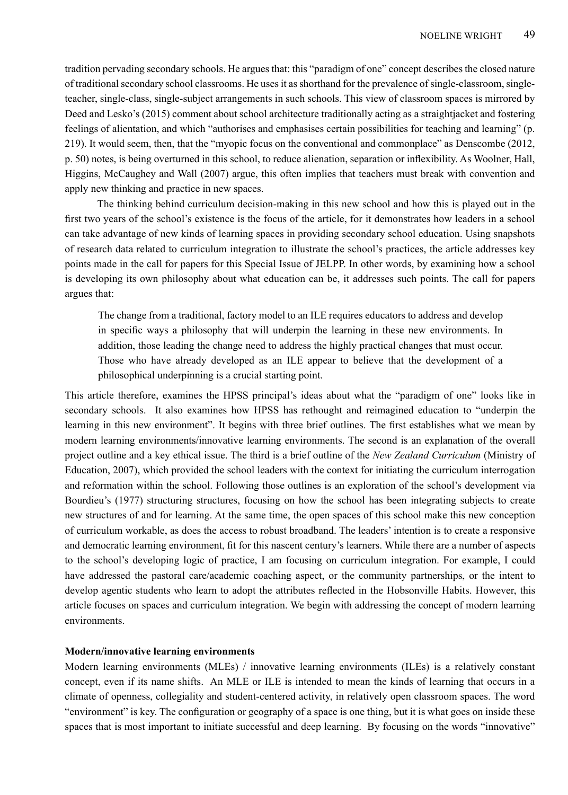tradition pervading secondary schools. He argues that: this "paradigm of one" concept describes the closed nature of traditional secondary school classrooms. He uses it as shorthand for the prevalence of single-classroom, singleteacher, single-class, single-subject arrangements in such schools. This view of classroom spaces is mirrored by Deed and Lesko's (2015) comment about school architecture traditionally acting as a straightjacket and fostering feelings of alientation, and which "authorises and emphasises certain possibilities for teaching and learning" (p. 219). It would seem, then, that the "myopic focus on the conventional and commonplace" as Denscombe (2012, p. 50) notes, is being overturned in this school, to reduce alienation, separation or inflexibility. As Woolner, Hall, Higgins, McCaughey and Wall (2007) argue, this often implies that teachers must break with convention and apply new thinking and practice in new spaces.

The thinking behind curriculum decision-making in this new school and how this is played out in the first two years of the school's existence is the focus of the article, for it demonstrates how leaders in a school can take advantage of new kinds of learning spaces in providing secondary school education. Using snapshots of research data related to curriculum integration to illustrate the school's practices, the article addresses key points made in the call for papers for this Special Issue of JELPP. In other words, by examining how a school is developing its own philosophy about what education can be, it addresses such points. The call for papers argues that:

The change from a traditional, factory model to an ILE requires educators to address and develop in specific ways a philosophy that will underpin the learning in these new environments. In addition, those leading the change need to address the highly practical changes that must occur. Those who have already developed as an ILE appear to believe that the development of a philosophical underpinning is a crucial starting point.

This article therefore, examines the HPSS principal's ideas about what the "paradigm of one" looks like in secondary schools. It also examines how HPSS has rethought and reimagined education to "underpin the learning in this new environment". It begins with three brief outlines. The first establishes what we mean by modern learning environments/innovative learning environments. The second is an explanation of the overall project outline and a key ethical issue. The third is a brief outline of the *New Zealand Curriculum* (Ministry of Education, 2007), which provided the school leaders with the context for initiating the curriculum interrogation and reformation within the school. Following those outlines is an exploration of the school's development via Bourdieu's (1977) structuring structures, focusing on how the school has been integrating subjects to create new structures of and for learning. At the same time, the open spaces of this school make this new conception of curriculum workable, as does the access to robust broadband. The leaders' intention is to create a responsive and democratic learning environment, fit for this nascent century's learners. While there are a number of aspects to the school's developing logic of practice, I am focusing on curriculum integration. For example, I could have addressed the pastoral care/academic coaching aspect, or the community partnerships, or the intent to develop agentic students who learn to adopt the attributes reflected in the Hobsonville Habits. However, this article focuses on spaces and curriculum integration. We begin with addressing the concept of modern learning environments.

# **Modern/innovative learning environments**

Modern learning environments (MLEs) / innovative learning environments (ILEs) is a relatively constant concept, even if its name shifts. An MLE or ILE is intended to mean the kinds of learning that occurs in a climate of openness, collegiality and student-centered activity, in relatively open classroom spaces. The word "environment" is key. The configuration or geography of a space is one thing, but it is what goes on inside these spaces that is most important to initiate successful and deep learning. By focusing on the words "innovative"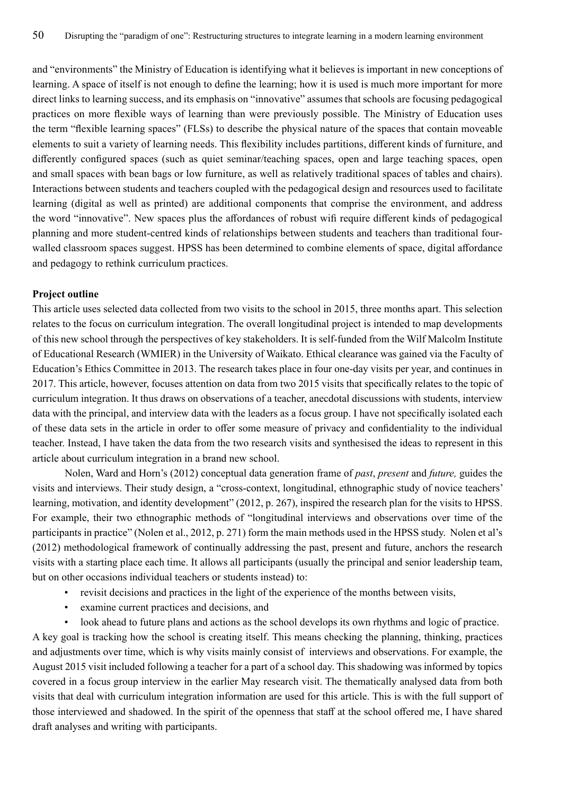and "environments" the Ministry of Education is identifying what it believes is important in new conceptions of learning. A space of itself is not enough to define the learning; how it is used is much more important for more direct links to learning success, and its emphasis on "innovative" assumes that schools are focusing pedagogical practices on more flexible ways of learning than were previously possible. The Ministry of Education uses the term "flexible learning spaces" (FLSs) to describe the physical nature of the spaces that contain moveable elements to suit a variety of learning needs. This flexibility includes partitions, different kinds of furniture, and differently configured spaces (such as quiet seminar/teaching spaces, open and large teaching spaces, open and small spaces with bean bags or low furniture, as well as relatively traditional spaces of tables and chairs). Interactions between students and teachers coupled with the pedagogical design and resources used to facilitate learning (digital as well as printed) are additional components that comprise the environment, and address the word "innovative". New spaces plus the affordances of robust wifi require different kinds of pedagogical planning and more student-centred kinds of relationships between students and teachers than traditional fourwalled classroom spaces suggest. HPSS has been determined to combine elements of space, digital affordance and pedagogy to rethink curriculum practices.

## **Project outline**

This article uses selected data collected from two visits to the school in 2015, three months apart. This selection relates to the focus on curriculum integration. The overall longitudinal project is intended to map developments of this new school through the perspectives of key stakeholders. It is self-funded from the Wilf Malcolm Institute of Educational Research (WMIER) in the University of Waikato. Ethical clearance was gained via the Faculty of Education's Ethics Committee in 2013. The research takes place in four one-day visits per year, and continues in 2017. This article, however, focuses attention on data from two 2015 visits that specifically relates to the topic of curriculum integration. It thus draws on observations of a teacher, anecdotal discussions with students, interview data with the principal, and interview data with the leaders as a focus group. I have not specifically isolated each of these data sets in the article in order to offer some measure of privacy and confidentiality to the individual teacher. Instead, I have taken the data from the two research visits and synthesised the ideas to represent in this article about curriculum integration in a brand new school.

Nolen, Ward and Horn's (2012) conceptual data generation frame of *past*, *present* and *future,* guides the visits and interviews. Their study design, a "cross-context, longitudinal, ethnographic study of novice teachers' learning, motivation, and identity development" (2012, p. 267), inspired the research plan for the visits to HPSS. For example, their two ethnographic methods of "longitudinal interviews and observations over time of the participants in practice" (Nolen et al., 2012, p. 271) form the main methods used in the HPSS study. Nolen et al's (2012) methodological framework of continually addressing the past, present and future, anchors the research visits with a starting place each time. It allows all participants (usually the principal and senior leadership team, but on other occasions individual teachers or students instead) to:

- revisit decisions and practices in the light of the experience of the months between visits,
- examine current practices and decisions, and
- look ahead to future plans and actions as the school develops its own rhythms and logic of practice.

A key goal is tracking how the school is creating itself. This means checking the planning, thinking, practices and adjustments over time, which is why visits mainly consist of interviews and observations. For example, the August 2015 visit included following a teacher for a part of a school day. This shadowing was informed by topics covered in a focus group interview in the earlier May research visit. The thematically analysed data from both visits that deal with curriculum integration information are used for this article. This is with the full support of those interviewed and shadowed. In the spirit of the openness that staff at the school offered me, I have shared draft analyses and writing with participants.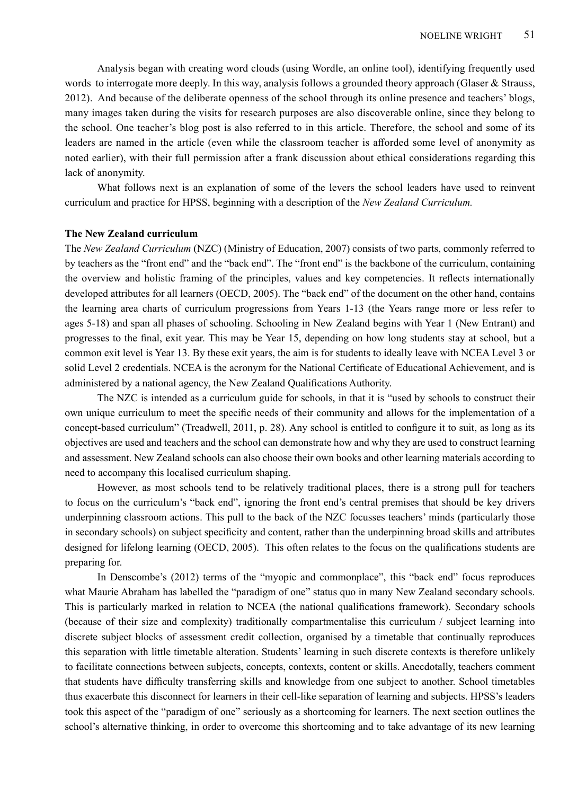Analysis began with creating word clouds (using Wordle, an online tool), identifying frequently used words to interrogate more deeply. In this way, analysis follows a grounded theory approach (Glaser & Strauss, 2012). And because of the deliberate openness of the school through its online presence and teachers' blogs, many images taken during the visits for research purposes are also discoverable online, since they belong to the school. One teacher's blog post is also referred to in this article. Therefore, the school and some of its leaders are named in the article (even while the classroom teacher is afforded some level of anonymity as noted earlier), with their full permission after a frank discussion about ethical considerations regarding this lack of anonymity.

What follows next is an explanation of some of the levers the school leaders have used to reinvent curriculum and practice for HPSS, beginning with a description of the *New Zealand Curriculum.* 

## **The New Zealand curriculum**

The *New Zealand Curriculum* (NZC) (Ministry of Education, 2007) consists of two parts, commonly referred to by teachers as the "front end" and the "back end". The "front end" is the backbone of the curriculum, containing the overview and holistic framing of the principles, values and key competencies. It reflects internationally developed attributes for all learners (OECD, 2005). The "back end" of the document on the other hand, contains the learning area charts of curriculum progressions from Years 1-13 (the Years range more or less refer to ages 5-18) and span all phases of schooling. Schooling in New Zealand begins with Year 1 (New Entrant) and progresses to the final, exit year. This may be Year 15, depending on how long students stay at school, but a common exit level is Year 13. By these exit years, the aim is for students to ideally leave with NCEA Level 3 or solid Level 2 credentials. NCEA is the acronym for the National Certificate of Educational Achievement, and is administered by a national agency, the New Zealand Qualifications Authority.

The NZC is intended as a curriculum guide for schools, in that it is "used by schools to construct their own unique curriculum to meet the specific needs of their community and allows for the implementation of a concept-based curriculum" (Treadwell, 2011, p. 28). Any school is entitled to configure it to suit, as long as its objectives are used and teachers and the school can demonstrate how and why they are used to construct learning and assessment. New Zealand schools can also choose their own books and other learning materials according to need to accompany this localised curriculum shaping.

However, as most schools tend to be relatively traditional places, there is a strong pull for teachers to focus on the curriculum's "back end", ignoring the front end's central premises that should be key drivers underpinning classroom actions. This pull to the back of the NZC focusses teachers' minds (particularly those in secondary schools) on subject specificity and content, rather than the underpinning broad skills and attributes designed for lifelong learning (OECD, 2005). This often relates to the focus on the qualifications students are preparing for.

In Denscombe's (2012) terms of the "myopic and commonplace", this "back end" focus reproduces what Maurie Abraham has labelled the "paradigm of one" status quo in many New Zealand secondary schools. This is particularly marked in relation to NCEA (the national qualifications framework). Secondary schools (because of their size and complexity) traditionally compartmentalise this curriculum / subject learning into discrete subject blocks of assessment credit collection, organised by a timetable that continually reproduces this separation with little timetable alteration. Students' learning in such discrete contexts is therefore unlikely to facilitate connections between subjects, concepts, contexts, content or skills. Anecdotally, teachers comment that students have difficulty transferring skills and knowledge from one subject to another. School timetables thus exacerbate this disconnect for learners in their cell-like separation of learning and subjects. HPSS's leaders took this aspect of the "paradigm of one" seriously as a shortcoming for learners. The next section outlines the school's alternative thinking, in order to overcome this shortcoming and to take advantage of its new learning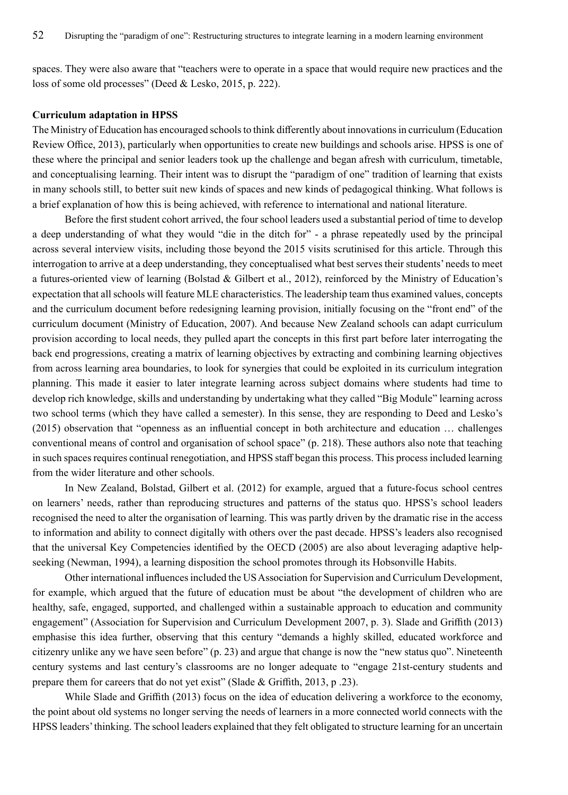spaces. They were also aware that "teachers were to operate in a space that would require new practices and the loss of some old processes" (Deed & Lesko, 2015, p. 222).

## **Curriculum adaptation in HPSS**

The Ministry of Education has encouraged schools to think differently about innovations in curriculum (Education Review Office, 2013), particularly when opportunities to create new buildings and schools arise. HPSS is one of these where the principal and senior leaders took up the challenge and began afresh with curriculum, timetable, and conceptualising learning. Their intent was to disrupt the "paradigm of one" tradition of learning that exists in many schools still, to better suit new kinds of spaces and new kinds of pedagogical thinking. What follows is a brief explanation of how this is being achieved, with reference to international and national literature.

Before the first student cohort arrived, the four school leaders used a substantial period of time to develop a deep understanding of what they would "die in the ditch for" - a phrase repeatedly used by the principal across several interview visits, including those beyond the 2015 visits scrutinised for this article. Through this interrogation to arrive at a deep understanding, they conceptualised what best serves their students' needs to meet a futures-oriented view of learning (Bolstad & Gilbert et al., 2012), reinforced by the Ministry of Education's expectation that all schools will feature MLE characteristics. The leadership team thus examined values, concepts and the curriculum document before redesigning learning provision, initially focusing on the "front end" of the curriculum document (Ministry of Education, 2007). And because New Zealand schools can adapt curriculum provision according to local needs, they pulled apart the concepts in this first part before later interrogating the back end progressions, creating a matrix of learning objectives by extracting and combining learning objectives from across learning area boundaries, to look for synergies that could be exploited in its curriculum integration planning. This made it easier to later integrate learning across subject domains where students had time to develop rich knowledge, skills and understanding by undertaking what they called "Big Module" learning across two school terms (which they have called a semester). In this sense, they are responding to Deed and Lesko's (2015) observation that "openness as an influential concept in both architecture and education … challenges conventional means of control and organisation of school space" (p. 218). These authors also note that teaching in such spaces requires continual renegotiation, and HPSS staff began this process. This process included learning from the wider literature and other schools.

In New Zealand, Bolstad, Gilbert et al. (2012) for example, argued that a future-focus school centres on learners' needs, rather than reproducing structures and patterns of the status quo. HPSS's school leaders recognised the need to alter the organisation of learning. This was partly driven by the dramatic rise in the access to information and ability to connect digitally with others over the past decade. HPSS's leaders also recognised that the universal Key Competencies identified by the OECD (2005) are also about leveraging adaptive helpseeking (Newman, 1994), a learning disposition the school promotes through its Hobsonville Habits.

Other international influences included the US Association for Supervision and Curriculum Development, for example, which argued that the future of education must be about "the development of children who are healthy, safe, engaged, supported, and challenged within a sustainable approach to education and community engagement" (Association for Supervision and Curriculum Development 2007, p. 3). Slade and Griffith (2013) emphasise this idea further, observing that this century "demands a highly skilled, educated workforce and citizenry unlike any we have seen before" (p. 23) and argue that change is now the "new status quo". Nineteenth century systems and last century's classrooms are no longer adequate to "engage 21st-century students and prepare them for careers that do not yet exist" (Slade & Griffith, 2013, p .23).

While Slade and Griffith (2013) focus on the idea of education delivering a workforce to the economy, the point about old systems no longer serving the needs of learners in a more connected world connects with the HPSS leaders' thinking. The school leaders explained that they felt obligated to structure learning for an uncertain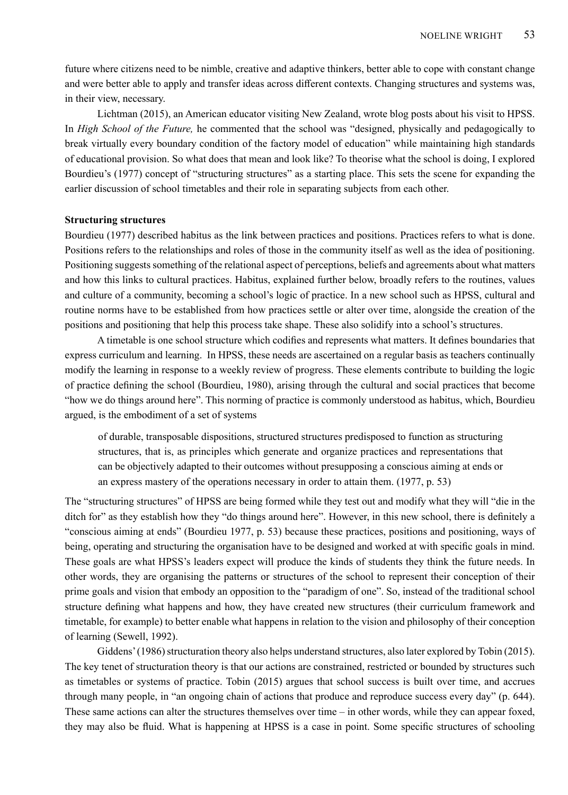future where citizens need to be nimble, creative and adaptive thinkers, better able to cope with constant change and were better able to apply and transfer ideas across different contexts. Changing structures and systems was, in their view, necessary.

Lichtman (2015), an American educator visiting New Zealand, wrote blog posts about his visit to HPSS. In *High School of the Future,* he commented that the school was "designed, physically and pedagogically to break virtually every boundary condition of the factory model of education" while maintaining high standards of educational provision. So what does that mean and look like? To theorise what the school is doing, I explored Bourdieu's (1977) concept of "structuring structures" as a starting place. This sets the scene for expanding the earlier discussion of school timetables and their role in separating subjects from each other.

#### **Structuring structures**

Bourdieu (1977) described habitus as the link between practices and positions. Practices refers to what is done. Positions refers to the relationships and roles of those in the community itself as well as the idea of positioning. Positioning suggests something of the relational aspect of perceptions, beliefs and agreements about what matters and how this links to cultural practices. Habitus, explained further below, broadly refers to the routines, values and culture of a community, becoming a school's logic of practice. In a new school such as HPSS, cultural and routine norms have to be established from how practices settle or alter over time, alongside the creation of the positions and positioning that help this process take shape. These also solidify into a school's structures.

A timetable is one school structure which codifies and represents what matters. It defines boundaries that express curriculum and learning. In HPSS, these needs are ascertained on a regular basis as teachers continually modify the learning in response to a weekly review of progress. These elements contribute to building the logic of practice defining the school (Bourdieu, 1980), arising through the cultural and social practices that become "how we do things around here". This norming of practice is commonly understood as habitus, which, Bourdieu argued, is the embodiment of a set of systems

of durable, transposable dispositions, structured structures predisposed to function as structuring structures, that is, as principles which generate and organize practices and representations that can be objectively adapted to their outcomes without presupposing a conscious aiming at ends or an express mastery of the operations necessary in order to attain them. (1977, p. 53)

The "structuring structures" of HPSS are being formed while they test out and modify what they will "die in the ditch for" as they establish how they "do things around here". However, in this new school, there is definitely a "conscious aiming at ends" (Bourdieu 1977, p. 53) because these practices, positions and positioning, ways of being, operating and structuring the organisation have to be designed and worked at with specific goals in mind. These goals are what HPSS's leaders expect will produce the kinds of students they think the future needs. In other words, they are organising the patterns or structures of the school to represent their conception of their prime goals and vision that embody an opposition to the "paradigm of one". So, instead of the traditional school structure defining what happens and how, they have created new structures (their curriculum framework and timetable, for example) to better enable what happens in relation to the vision and philosophy of their conception of learning (Sewell, 1992).

Giddens' (1986) structuration theory also helps understand structures, also later explored by Tobin (2015). The key tenet of structuration theory is that our actions are constrained, restricted or bounded by structures such as timetables or systems of practice. Tobin (2015) argues that school success is built over time, and accrues through many people, in "an ongoing chain of actions that produce and reproduce success every day" (p. 644). These same actions can alter the structures themselves over time – in other words, while they can appear foxed, they may also be fluid. What is happening at HPSS is a case in point. Some specific structures of schooling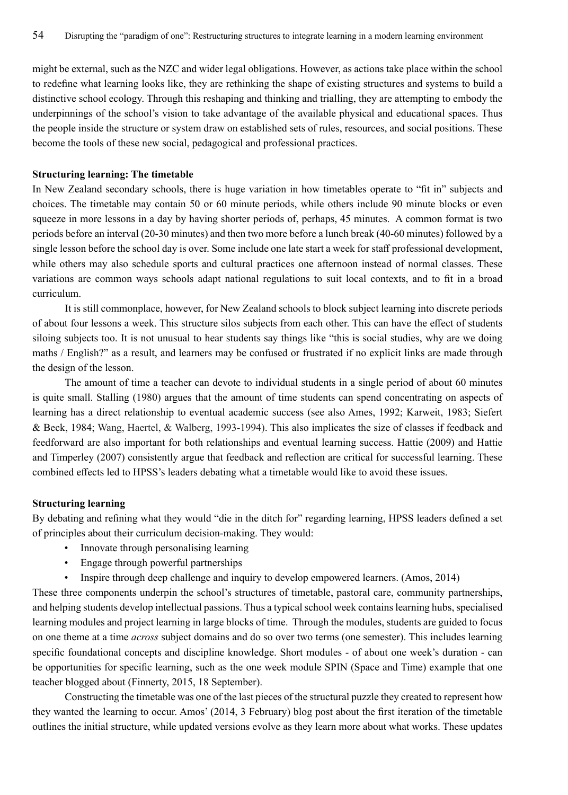might be external, such as the NZC and wider legal obligations. However, as actions take place within the school to redefine what learning looks like, they are rethinking the shape of existing structures and systems to build a distinctive school ecology. Through this reshaping and thinking and trialling, they are attempting to embody the underpinnings of the school's vision to take advantage of the available physical and educational spaces. Thus the people inside the structure or system draw on established sets of rules, resources, and social positions. These become the tools of these new social, pedagogical and professional practices.

#### **Structuring learning: The timetable**

In New Zealand secondary schools, there is huge variation in how timetables operate to "fit in" subjects and choices. The timetable may contain 50 or 60 minute periods, while others include 90 minute blocks or even squeeze in more lessons in a day by having shorter periods of, perhaps, 45 minutes. A common format is two periods before an interval (20-30 minutes) and then two more before a lunch break (40-60 minutes) followed by a single lesson before the school day is over. Some include one late start a week for staff professional development, while others may also schedule sports and cultural practices one afternoon instead of normal classes. These variations are common ways schools adapt national regulations to suit local contexts, and to fit in a broad curriculum.

It is still commonplace, however, for New Zealand schools to block subject learning into discrete periods of about four lessons a week. This structure silos subjects from each other. This can have the effect of students siloing subjects too. It is not unusual to hear students say things like "this is social studies, why are we doing maths / English?" as a result, and learners may be confused or frustrated if no explicit links are made through the design of the lesson.

The amount of time a teacher can devote to individual students in a single period of about 60 minutes is quite small. Stalling (1980) argues that the amount of time students can spend concentrating on aspects of learning has a direct relationship to eventual academic success (see also Ames, 1992; Karweit, 1983; Siefert & Beck, 1984; Wang, Haertel, & Walberg, 1993-1994). This also implicates the size of classes if feedback and feedforward are also important for both relationships and eventual learning success. Hattie (2009) and Hattie and Timperley (2007) consistently argue that feedback and reflection are critical for successful learning. These combined effects led to HPSS's leaders debating what a timetable would like to avoid these issues.

#### **Structuring learning**

By debating and refining what they would "die in the ditch for" regarding learning, HPSS leaders defined a set of principles about their curriculum decision-making. They would:

- Innovate through personalising learning
- Engage through powerful partnerships
- Inspire through deep challenge and inquiry to develop empowered learners. (Amos, 2014)

These three components underpin the school's structures of timetable, pastoral care, community partnerships, and helping students develop intellectual passions. Thus a typical school week contains learning hubs, specialised learning modules and project learning in large blocks of time. Through the modules, students are guided to focus on one theme at a time *across* subject domains and do so over two terms (one semester). This includes learning specific foundational concepts and discipline knowledge. Short modules - of about one week's duration - can be opportunities for specific learning, such as the one week module SPIN (Space and Time) example that one teacher blogged about (Finnerty, 2015, 18 September).

Constructing the timetable was one of the last pieces of the structural puzzle they created to represent how they wanted the learning to occur. Amos' (2014, 3 February) blog post about the first iteration of the timetable outlines the initial structure, while updated versions evolve as they learn more about what works. These updates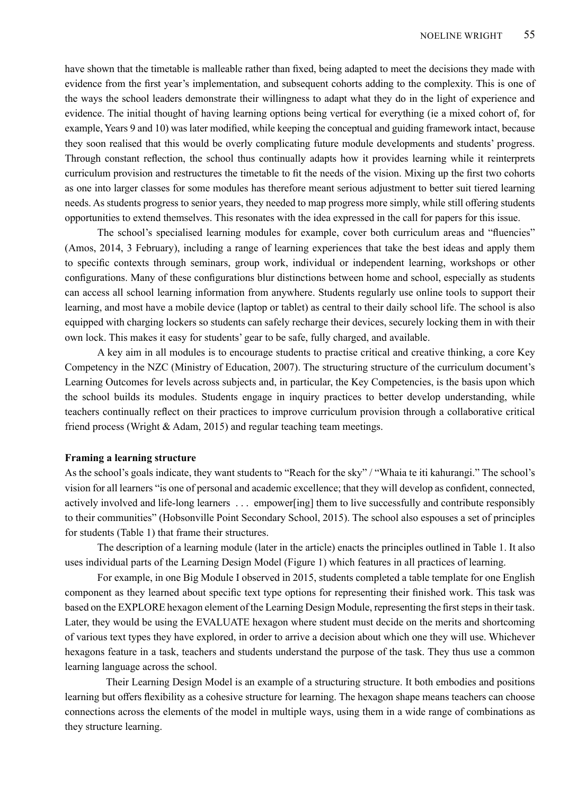have shown that the timetable is malleable rather than fixed, being adapted to meet the decisions they made with evidence from the first year's implementation, and subsequent cohorts adding to the complexity. This is one of the ways the school leaders demonstrate their willingness to adapt what they do in the light of experience and evidence. The initial thought of having learning options being vertical for everything (ie a mixed cohort of, for example, Years 9 and 10) was later modified, while keeping the conceptual and guiding framework intact, because they soon realised that this would be overly complicating future module developments and students' progress. Through constant reflection, the school thus continually adapts how it provides learning while it reinterprets curriculum provision and restructures the timetable to fit the needs of the vision. Mixing up the first two cohorts as one into larger classes for some modules has therefore meant serious adjustment to better suit tiered learning needs. As students progress to senior years, they needed to map progress more simply, while still offering students opportunities to extend themselves. This resonates with the idea expressed in the call for papers for this issue.

The school's specialised learning modules for example, cover both curriculum areas and "fluencies" (Amos, 2014, 3 February), including a range of learning experiences that take the best ideas and apply them to specific contexts through seminars, group work, individual or independent learning, workshops or other configurations. Many of these configurations blur distinctions between home and school, especially as students can access all school learning information from anywhere. Students regularly use online tools to support their learning, and most have a mobile device (laptop or tablet) as central to their daily school life. The school is also equipped with charging lockers so students can safely recharge their devices, securely locking them in with their own lock. This makes it easy for students' gear to be safe, fully charged, and available.

A key aim in all modules is to encourage students to practise critical and creative thinking, a core Key Competency in the NZC (Ministry of Education, 2007). The structuring structure of the curriculum document's Learning Outcomes for levels across subjects and, in particular, the Key Competencies, is the basis upon which the school builds its modules. Students engage in inquiry practices to better develop understanding, while teachers continually reflect on their practices to improve curriculum provision through a collaborative critical friend process (Wright & Adam, 2015) and regular teaching team meetings.

#### **Framing a learning structure**

As the school's goals indicate, they want students to "Reach for the sky" / "Whaia te iti kahurangi." The school's vision for all learners "is one of personal and academic excellence; that they will develop as confident, connected, actively involved and life-long learners . . . empower[ing] them to live successfully and contribute responsibly to their communities" (Hobsonville Point Secondary School, 2015). The school also espouses a set of principles for students (Table 1) that frame their structures.

The description of a learning module (later in the article) enacts the principles outlined in Table 1. It also uses individual parts of the Learning Design Model (Figure 1) which features in all practices of learning.

For example, in one Big Module I observed in 2015, students completed a table template for one English component as they learned about specific text type options for representing their finished work. This task was based on the EXPLORE hexagon element of the Learning Design Module, representing the first steps in their task. Later, they would be using the EVALUATE hexagon where student must decide on the merits and shortcoming of various text types they have explored, in order to arrive a decision about which one they will use. Whichever hexagons feature in a task, teachers and students understand the purpose of the task. They thus use a common learning language across the school.

Their Learning Design Model is an example of a structuring structure. It both embodies and positions learning but offers flexibility as a cohesive structure for learning. The hexagon shape means teachers can choose connections across the elements of the model in multiple ways, using them in a wide range of combinations as they structure learning.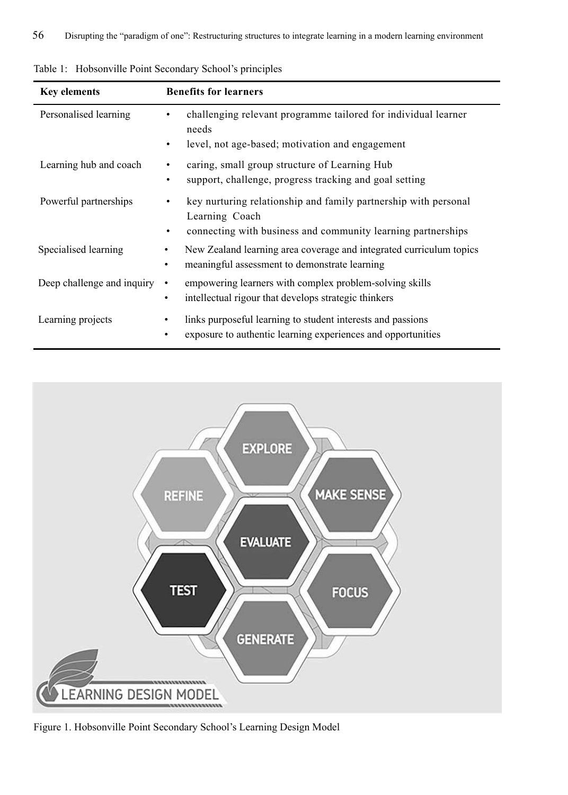| <b>Key elements</b>        | <b>Benefits for learners</b>                                                                                                                           |
|----------------------------|--------------------------------------------------------------------------------------------------------------------------------------------------------|
| Personalised learning      | challenging relevant programme tailored for individual learner<br>needs<br>level, not age-based; motivation and engagement<br>٠                        |
| Learning hub and coach     | caring, small group structure of Learning Hub<br>٠<br>support, challenge, progress tracking and goal setting<br>٠                                      |
| Powerful partnerships      | key nurturing relationship and family partnership with personal<br>Learning Coach<br>connecting with business and community learning partnerships<br>٠ |
| Specialised learning       | New Zealand learning area coverage and integrated curriculum topics<br>٠<br>meaningful assessment to demonstrate learning<br>٠                         |
| Deep challenge and inquiry | empowering learners with complex problem-solving skills<br>$\bullet$<br>intellectual rigour that develops strategic thinkers<br>$\bullet$              |
| Learning projects          | links purposeful learning to student interests and passions<br>exposure to authentic learning experiences and opportunities                            |

Table 1: Hobsonville Point Secondary School's principles



Figure 1. Hobsonville Point Secondary School's Learning Design Model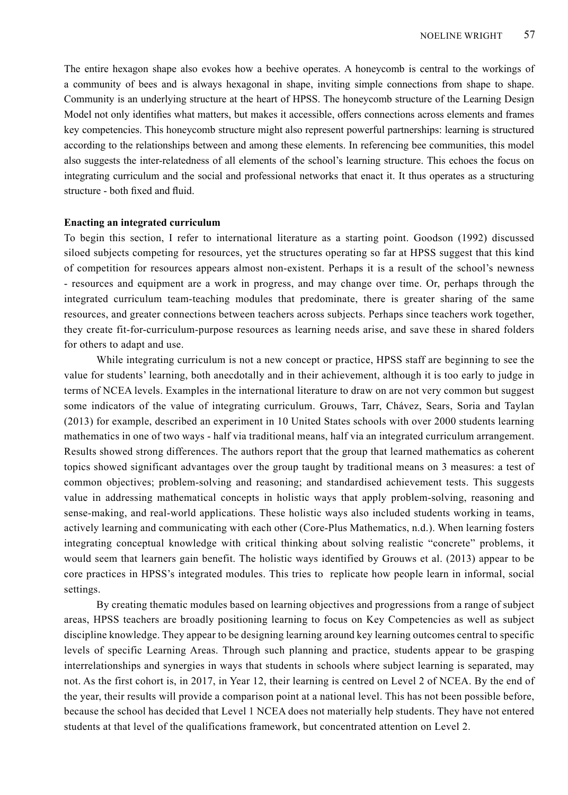The entire hexagon shape also evokes how a beehive operates. A honeycomb is central to the workings of a community of bees and is always hexagonal in shape, inviting simple connections from shape to shape. Community is an underlying structure at the heart of HPSS. The honeycomb structure of the Learning Design Model not only identifies what matters, but makes it accessible, offers connections across elements and frames key competencies. This honeycomb structure might also represent powerful partnerships: learning is structured according to the relationships between and among these elements. In referencing bee communities, this model also suggests the inter-relatedness of all elements of the school's learning structure. This echoes the focus on integrating curriculum and the social and professional networks that enact it. It thus operates as a structuring structure - both fixed and fluid.

#### **Enacting an integrated curriculum**

To begin this section, I refer to international literature as a starting point. Goodson (1992) discussed siloed subjects competing for resources, yet the structures operating so far at HPSS suggest that this kind of competition for resources appears almost non-existent. Perhaps it is a result of the school's newness - resources and equipment are a work in progress, and may change over time. Or, perhaps through the integrated curriculum team-teaching modules that predominate, there is greater sharing of the same resources, and greater connections between teachers across subjects. Perhaps since teachers work together, they create fit-for-curriculum-purpose resources as learning needs arise, and save these in shared folders for others to adapt and use.

While integrating curriculum is not a new concept or practice, HPSS staff are beginning to see the value for students' learning, both anecdotally and in their achievement, although it is too early to judge in terms of NCEA levels. Examples in the international literature to draw on are not very common but suggest some indicators of the value of integrating curriculum. Grouws, Tarr, Chávez, Sears, Soria and Taylan (2013) for example, described an experiment in 10 United States schools with over 2000 students learning mathematics in one of two ways - half via traditional means, half via an integrated curriculum arrangement. Results showed strong differences. The authors report that the group that learned mathematics as coherent topics showed significant advantages over the group taught by traditional means on 3 measures: a test of common objectives; problem-solving and reasoning; and standardised achievement tests. This suggests value in addressing mathematical concepts in holistic ways that apply problem-solving, reasoning and sense-making, and real-world applications. These holistic ways also included students working in teams, actively learning and communicating with each other (Core-Plus Mathematics, n.d.). When learning fosters integrating conceptual knowledge with critical thinking about solving realistic "concrete" problems, it would seem that learners gain benefit. The holistic ways identified by Grouws et al. (2013) appear to be core practices in HPSS's integrated modules. This tries to replicate how people learn in informal, social settings.

By creating thematic modules based on learning objectives and progressions from a range of subject areas, HPSS teachers are broadly positioning learning to focus on Key Competencies as well as subject discipline knowledge. They appear to be designing learning around key learning outcomes central to specific levels of specific Learning Areas. Through such planning and practice, students appear to be grasping interrelationships and synergies in ways that students in schools where subject learning is separated, may not. As the first cohort is, in 2017, in Year 12, their learning is centred on Level 2 of NCEA. By the end of the year, their results will provide a comparison point at a national level. This has not been possible before, because the school has decided that Level 1 NCEA does not materially help students. They have not entered students at that level of the qualifications framework, but concentrated attention on Level 2.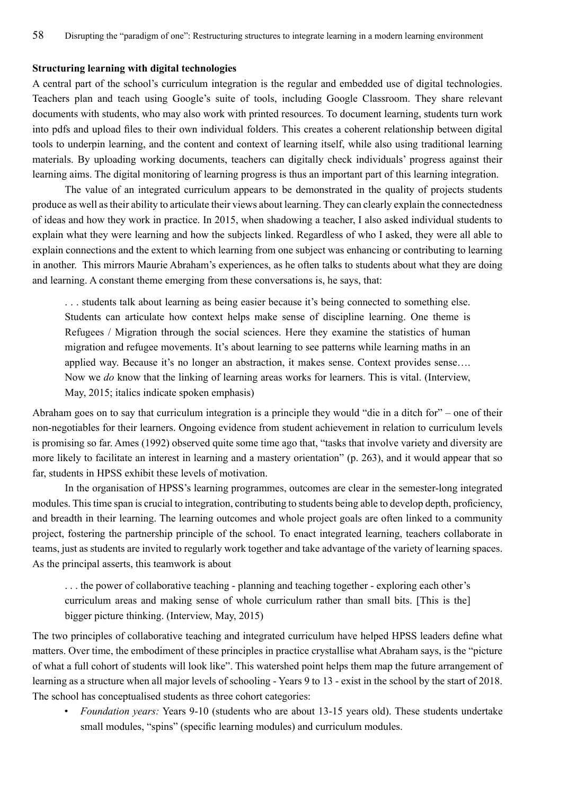#### **Structuring learning with digital technologies**

A central part of the school's curriculum integration is the regular and embedded use of digital technologies. Teachers plan and teach using Google's suite of tools, including Google Classroom. They share relevant documents with students, who may also work with printed resources. To document learning, students turn work into pdfs and upload files to their own individual folders. This creates a coherent relationship between digital tools to underpin learning, and the content and context of learning itself, while also using traditional learning materials. By uploading working documents, teachers can digitally check individuals' progress against their learning aims. The digital monitoring of learning progress is thus an important part of this learning integration.

The value of an integrated curriculum appears to be demonstrated in the quality of projects students produce as well as their ability to articulate their views about learning. They can clearly explain the connectedness of ideas and how they work in practice. In 2015, when shadowing a teacher, I also asked individual students to explain what they were learning and how the subjects linked. Regardless of who I asked, they were all able to explain connections and the extent to which learning from one subject was enhancing or contributing to learning in another. This mirrors Maurie Abraham's experiences, as he often talks to students about what they are doing and learning. A constant theme emerging from these conversations is, he says, that:

. . . students talk about learning as being easier because it's being connected to something else. Students can articulate how context helps make sense of discipline learning. One theme is Refugees / Migration through the social sciences. Here they examine the statistics of human migration and refugee movements. It's about learning to see patterns while learning maths in an applied way. Because it's no longer an abstraction, it makes sense. Context provides sense…. Now we *do* know that the linking of learning areas works for learners. This is vital. (Interview, May, 2015; italics indicate spoken emphasis)

Abraham goes on to say that curriculum integration is a principle they would "die in a ditch for" – one of their non-negotiables for their learners. Ongoing evidence from student achievement in relation to curriculum levels is promising so far. Ames (1992) observed quite some time ago that, "tasks that involve variety and diversity are more likely to facilitate an interest in learning and a mastery orientation" (p. 263), and it would appear that so far, students in HPSS exhibit these levels of motivation.

In the organisation of HPSS's learning programmes, outcomes are clear in the semester-long integrated modules. This time span is crucial to integration, contributing to students being able to develop depth, proficiency, and breadth in their learning. The learning outcomes and whole project goals are often linked to a community project, fostering the partnership principle of the school. To enact integrated learning, teachers collaborate in teams, just as students are invited to regularly work together and take advantage of the variety of learning spaces. As the principal asserts, this teamwork is about

. . . the power of collaborative teaching - planning and teaching together - exploring each other's curriculum areas and making sense of whole curriculum rather than small bits. [This is the] bigger picture thinking. (Interview, May, 2015)

The two principles of collaborative teaching and integrated curriculum have helped HPSS leaders define what matters. Over time, the embodiment of these principles in practice crystallise what Abraham says, is the "picture of what a full cohort of students will look like". This watershed point helps them map the future arrangement of learning as a structure when all major levels of schooling - Years 9 to 13 - exist in the school by the start of 2018. The school has conceptualised students as three cohort categories:

• *Foundation years:* Years 9-10 (students who are about 13-15 years old). These students undertake small modules, "spins" (specific learning modules) and curriculum modules.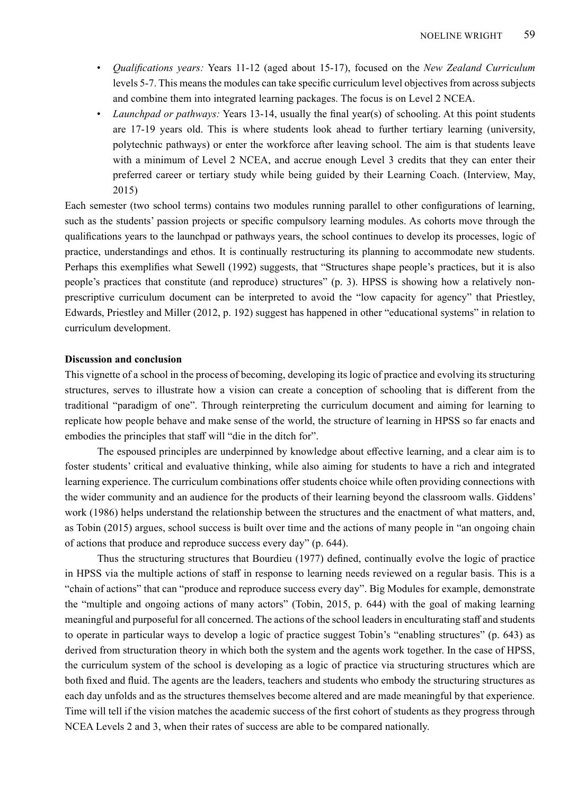- *Qualifications years:* Years 11-12 (aged about 15-17), focused on the *New Zealand Curriculum* levels 5-7. This means the modules can take specific curriculum level objectives from across subjects and combine them into integrated learning packages. The focus is on Level 2 NCEA.
- *Launchpad or pathways:* Years 13-14, usually the final year(s) of schooling. At this point students are 17-19 years old. This is where students look ahead to further tertiary learning (university, polytechnic pathways) or enter the workforce after leaving school. The aim is that students leave with a minimum of Level 2 NCEA, and accrue enough Level 3 credits that they can enter their preferred career or tertiary study while being guided by their Learning Coach. (Interview, May, 2015)

Each semester (two school terms) contains two modules running parallel to other configurations of learning, such as the students' passion projects or specific compulsory learning modules. As cohorts move through the qualifications years to the launchpad or pathways years, the school continues to develop its processes, logic of practice, understandings and ethos. It is continually restructuring its planning to accommodate new students. Perhaps this exemplifies what Sewell (1992) suggests, that "Structures shape people's practices, but it is also people's practices that constitute (and reproduce) structures" (p. 3). HPSS is showing how a relatively nonprescriptive curriculum document can be interpreted to avoid the "low capacity for agency" that Priestley, Edwards, Priestley and Miller (2012, p. 192) suggest has happened in other "educational systems" in relation to curriculum development.

## **Discussion and conclusion**

This vignette of a school in the process of becoming, developing its logic of practice and evolving its structuring structures, serves to illustrate how a vision can create a conception of schooling that is different from the traditional "paradigm of one". Through reinterpreting the curriculum document and aiming for learning to replicate how people behave and make sense of the world, the structure of learning in HPSS so far enacts and embodies the principles that staff will "die in the ditch for".

The espoused principles are underpinned by knowledge about effective learning, and a clear aim is to foster students' critical and evaluative thinking, while also aiming for students to have a rich and integrated learning experience. The curriculum combinations offer students choice while often providing connections with the wider community and an audience for the products of their learning beyond the classroom walls. Giddens' work (1986) helps understand the relationship between the structures and the enactment of what matters, and, as Tobin (2015) argues, school success is built over time and the actions of many people in "an ongoing chain of actions that produce and reproduce success every day" (p. 644).

Thus the structuring structures that Bourdieu (1977) defined, continually evolve the logic of practice in HPSS via the multiple actions of staff in response to learning needs reviewed on a regular basis. This is a "chain of actions" that can "produce and reproduce success every day". Big Modules for example, demonstrate the "multiple and ongoing actions of many actors" (Tobin, 2015, p. 644) with the goal of making learning meaningful and purposeful for all concerned. The actions of the school leaders in enculturating staff and students to operate in particular ways to develop a logic of practice suggest Tobin's "enabling structures" (p. 643) as derived from structuration theory in which both the system and the agents work together. In the case of HPSS, the curriculum system of the school is developing as a logic of practice via structuring structures which are both fixed and fluid. The agents are the leaders, teachers and students who embody the structuring structures as each day unfolds and as the structures themselves become altered and are made meaningful by that experience. Time will tell if the vision matches the academic success of the first cohort of students as they progress through NCEA Levels 2 and 3, when their rates of success are able to be compared nationally.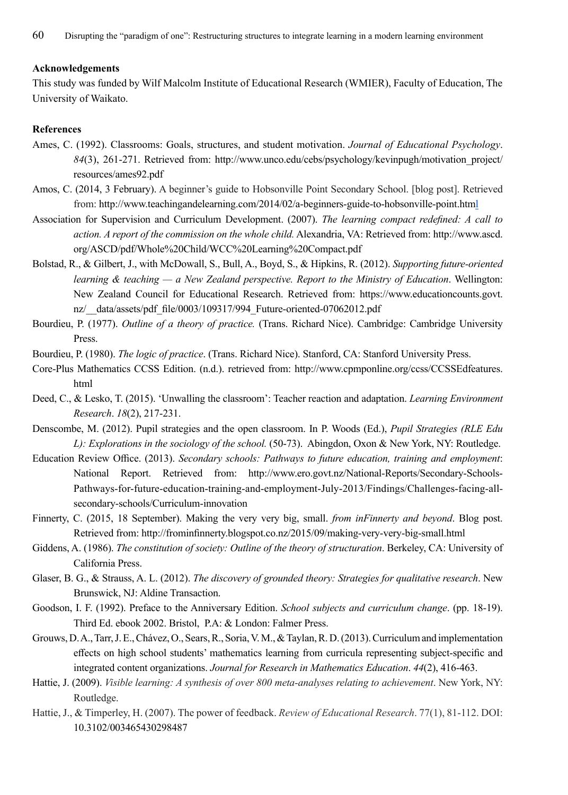## **Acknowledgements**

This study was funded by Wilf Malcolm Institute of Educational Research (WMIER), Faculty of Education, The University of Waikato.

# **References**

- Ames, C. (1992). Classrooms: Goals, structures, and student motivation. *Journal of Educational Psychology*. *84*(3), 261-271. Retrieved from: http://www.unco.edu/cebs/psychology/kevinpugh/motivation\_project/ resources/ames92.pdf
- Amos, C. (2014, 3 February). A beginner's guide to Hobsonville Point Secondary School. [blog post]. Retrieved from: http://www.teachingandelearning.com/2014/02/a-beginners-guide-to-hobsonville-point.html
- Association for Supervision and Curriculum Development. (2007). *The learning compact redefined: A call to action. A report of the commission on the whole child.* Alexandria, VA: Retrieved from: http://www.ascd. org/ASCD/pdf/Whole%20Child/WCC%20Learning%20Compact.pdf
- Bolstad, R., & Gilbert, J., with McDowall, S., Bull, A., Boyd, S., & Hipkins, R. (2012). *Supporting future-oriented learning & teaching — a New Zealand perspective. Report to the Ministry of Education*. Wellington: New Zealand Council for Educational Research. Retrieved from: https://www.educationcounts.govt. nz/\_\_data/assets/pdf\_file/0003/109317/994\_Future-oriented-07062012.pdf
- Bourdieu, P. (1977). *Outline of a theory of practice.* (Trans. Richard Nice). Cambridge: Cambridge University Press.
- Bourdieu, P. (1980). *The logic of practice*. (Trans. Richard Nice). Stanford, CA: Stanford University Press.
- Core-Plus Mathematics CCSS Edition. (n.d.). retrieved from: http://www.cpmponline.org/ccss/CCSSEdfeatures. html
- Deed, C., & Lesko, T. (2015). 'Unwalling the classroom': Teacher reaction and adaptation. *Learning Environment Research*. *18*(2), 217-231.
- Denscombe, M. (2012). Pupil strategies and the open classroom. In P. Woods (Ed.), *Pupil Strategies (RLE Edu L): Explorations in the sociology of the school.* (50-73). Abingdon, Oxon & New York, NY: Routledge.
- Education Review Office. (2013). *Secondary schools: Pathways to future education, training and employment*: National Report. Retrieved from: http://www.ero.govt.nz/National-Reports/Secondary-Schools-Pathways-for-future-education-training-and-employment-July-2013/Findings/Challenges-facing-allsecondary-schools/Curriculum-innovation
- Finnerty, C. (2015, 18 September). Making the very very big, small. *from inFinnerty and beyond*. Blog post. Retrieved from: http://frominfinnerty.blogspot.co.nz/2015/09/making-very-very-big-small.html
- Giddens, A. (1986). *The constitution of society: Outline of the theory of structuration*. Berkeley, CA: University of California Press.
- Glaser, B. G., & Strauss, A. L. (2012). *The discovery of grounded theory: Strategies for qualitative research*. New Brunswick, NJ: Aldine Transaction.
- Goodson, I. F. (1992). Preface to the Anniversary Edition. *School subjects and curriculum change*. (pp. 18-19). Third Ed. ebook 2002. Bristol, P.A: & London: Falmer Press.
- Grouws, D. A., Tarr, J. E., Chávez, O., Sears, R., Soria, V. M., & Taylan, R. D. (2013). Curriculum and implementation effects on high school students' mathematics learning from curricula representing subject-specific and integrated content organizations. *Journal for Research in Mathematics Education*. *44*(2), 416-463.
- Hattie, J. (2009). *Visible learning: A synthesis of over 800 meta-analyses relating to achievement*. New York, NY: Routledge.
- Hattie, J., & Timperley, H. (2007). The power of feedback. *Review of Educational Research*. 77(1), 81-112. DOI: 10.3102/003465430298487